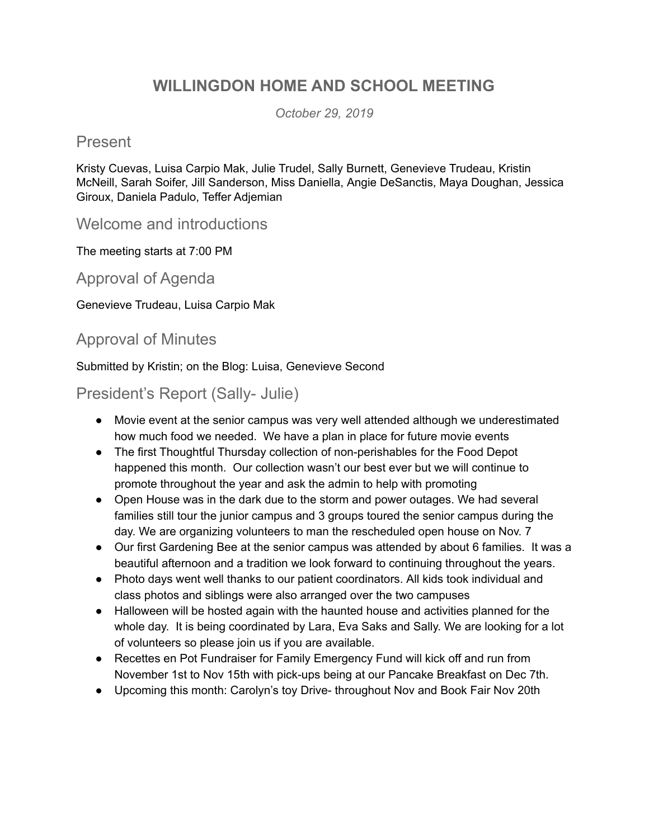# **WILLINGDON HOME AND SCHOOL MEETING**

*October 29, 2019*

#### Present

Kristy Cuevas, Luisa Carpio Mak, Julie Trudel, Sally Burnett, Genevieve Trudeau, Kristin McNeill, Sarah Soifer, Jill Sanderson, Miss Daniella, Angie DeSanctis, Maya Doughan, Jessica Giroux, Daniela Padulo, Teffer Adjemian

Welcome and introductions

The meeting starts at 7:00 PM

Approval of Agenda

Genevieve Trudeau, Luisa Carpio Mak

#### Approval of Minutes

Submitted by Kristin; on the Blog: Luisa, Genevieve Second

President's Report (Sally- Julie)

- Movie event at the senior campus was very well attended although we underestimated how much food we needed. We have a plan in place for future movie events
- The first Thoughtful Thursday collection of non-perishables for the Food Depot happened this month. Our collection wasn't our best ever but we will continue to promote throughout the year and ask the admin to help with promoting
- Open House was in the dark due to the storm and power outages. We had several families still tour the junior campus and 3 groups toured the senior campus during the day. We are organizing volunteers to man the rescheduled open house on Nov. 7
- Our first Gardening Bee at the senior campus was attended by about 6 families. It was a beautiful afternoon and a tradition we look forward to continuing throughout the years.
- Photo days went well thanks to our patient coordinators. All kids took individual and class photos and siblings were also arranged over the two campuses
- Halloween will be hosted again with the haunted house and activities planned for the whole day. It is being coordinated by Lara, Eva Saks and Sally. We are looking for a lot of volunteers so please join us if you are available.
- Recettes en Pot Fundraiser for Family Emergency Fund will kick off and run from November 1st to Nov 15th with pick-ups being at our Pancake Breakfast on Dec 7th.
- Upcoming this month: Carolyn's toy Drive- throughout Nov and Book Fair Nov 20th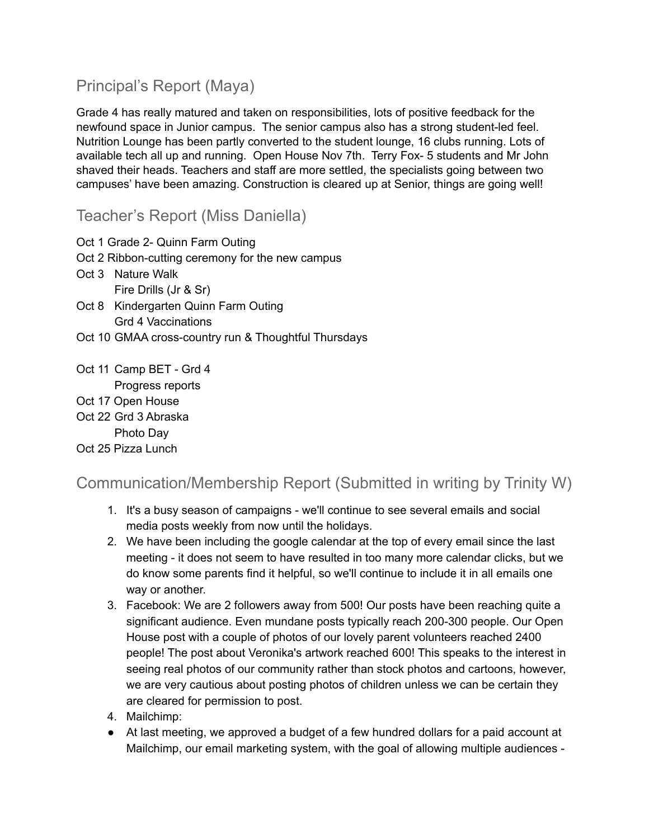# Principal's Report (Maya)

Grade 4 has really matured and taken on responsibilities, lots of positive feedback for the newfound space in Junior campus. The senior campus also has a strong student-led feel. Nutrition Lounge has been partly converted to the student lounge, 16 clubs running. Lots of available tech all up and running. Open House Nov 7th. Terry Fox- 5 students and Mr John shaved their heads. Teachers and staff are more settled, the specialists going between two campuses' have been amazing. Construction is cleared up at Senior, things are going well!

Teacher's Report (Miss Daniella)

- Oct 1 Grade 2- Quinn Farm Outing
- Oct 2 Ribbon-cutting ceremony for the new campus
- Oct 3 Nature Walk Fire Drills (Jr & Sr)
- Oct 8 Kindergarten Quinn Farm Outing Grd 4 Vaccinations
- Oct 10 GMAA cross-country run & Thoughtful Thursdays
- Oct 11 Camp BET Grd 4 Progress reports
- Oct 17 Open House
- Oct 22 Grd 3 Abraska Photo Day

Oct 25 Pizza Lunch

## Communication/Membership Report (Submitted in writing by Trinity W)

- 1. It's a busy season of campaigns we'll continue to see several emails and social media posts weekly from now until the holidays.
- 2. We have been including the google calendar at the top of every email since the last meeting - it does not seem to have resulted in too many more calendar clicks, but we do know some parents find it helpful, so we'll continue to include it in all emails one way or another.
- 3. Facebook: We are 2 followers away from 500! Our posts have been reaching quite a significant audience. Even mundane posts typically reach 200-300 people. Our Open House post with a couple of photos of our lovely parent volunteers reached 2400 people! The post about Veronika's artwork reached 600! This speaks to the interest in seeing real photos of our community rather than stock photos and cartoons, however, we are very cautious about posting photos of children unless we can be certain they are cleared for permission to post.
- 4. Mailchimp:
- At last meeting, we approved a budget of a few hundred dollars for a paid account at Mailchimp, our email marketing system, with the goal of allowing multiple audiences -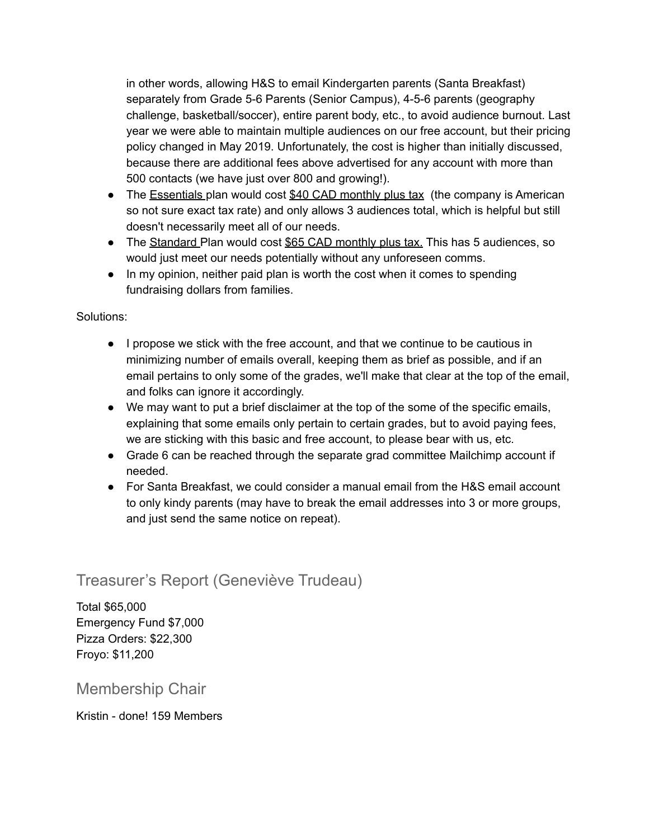in other words, allowing H&S to email Kindergarten parents (Santa Breakfast) separately from Grade 5-6 Parents (Senior Campus), 4-5-6 parents (geography challenge, basketball/soccer), entire parent body, etc., to avoid audience burnout. Last year we were able to maintain multiple audiences on our free account, but their pricing policy changed in May 2019. Unfortunately, the cost is higher than initially discussed, because there are additional fees above advertised for any account with more than 500 contacts (we have just over 800 and growing!).

- The Essentials plan would cost \$40 CAD monthly plus tax (the company is American so not sure exact tax rate) and only allows 3 audiences total, which is helpful but still doesn't necessarily meet all of our needs.
- The Standard Plan would cost \$65 CAD monthly plus tax. This has 5 audiences, so would just meet our needs potentially without any unforeseen comms.
- In my opinion, neither paid plan is worth the cost when it comes to spending fundraising dollars from families.

#### Solutions:

- I propose we stick with the free account, and that we continue to be cautious in minimizing number of emails overall, keeping them as brief as possible, and if an email pertains to only some of the grades, we'll make that clear at the top of the email, and folks can ignore it accordingly.
- We may want to put a brief disclaimer at the top of the some of the specific emails, explaining that some emails only pertain to certain grades, but to avoid paying fees, we are sticking with this basic and free account, to please bear with us, etc.
- Grade 6 can be reached through the separate grad committee Mailchimp account if needed.
- For Santa Breakfast, we could consider a manual email from the H&S email account to only kindy parents (may have to break the email addresses into 3 or more groups, and just send the same notice on repeat).

## Treasurer's Report (Geneviève Trudeau)

Total \$65,000 Emergency Fund \$7,000 Pizza Orders: \$22,300 Froyo: \$11,200

## Membership Chair

Kristin - done! 159 Members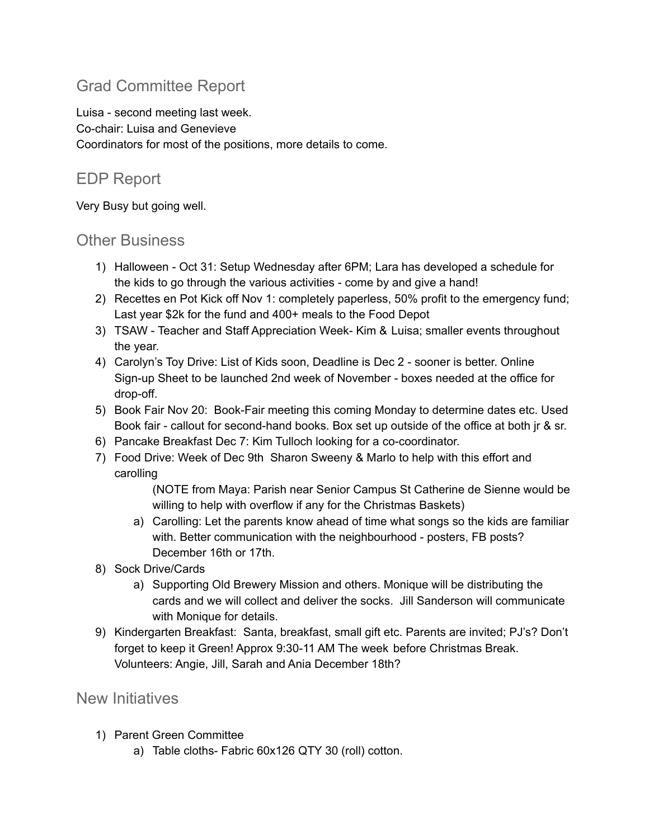# Grad Committee Report

Luisa - second meeting last week. Co-chair: Luisa and Genevieve Coordinators for most of the positions, more details to come.

### EDP Report

Very Busy but going well.

#### Other Business

- 1) Halloween Oct 31: Setup Wednesday after 6PM; Lara has developed a schedule for the kids to go through the various activities - come by and give a hand!
- 2) Recettes en Pot Kick off Nov 1: completely paperless, 50% profit to the emergency fund; Last year \$2k for the fund and 400+ meals to the Food Depot
- 3) TSAW Teacher and Staff Appreciation Week- Kim & Luisa; smaller events throughout the year.
- 4) Carolyn's Toy Drive: List of Kids soon, Deadline is Dec 2 sooner is better. Online Sign-up Sheet to be launched 2nd week of November - boxes needed at the office for drop-off.
- 5) Book Fair Nov 20: Book-Fair meeting this coming Monday to determine dates etc. Used Book fair - callout for second-hand books. Box set up outside of the office at both jr & sr.
- 6) Pancake Breakfast Dec 7: Kim Tulloch looking for a co-coordinator.
- 7) Food Drive: Week of Dec 9th Sharon Sweeny & Marlo to help with this effort and carolling

(NOTE from Maya: Parish near Senior Campus St Catherine de Sienne would be willing to help with overflow if any for the Christmas Baskets)

- a) Carolling: Let the parents know ahead of time what songs so the kids are familiar with. Better communication with the neighbourhood - posters, FB posts? December 16th or 17th.
- 8) Sock Drive/Cards
	- a) Supporting Old Brewery Mission and others. Monique will be distributing the cards and we will collect and deliver the socks. Jill Sanderson will communicate with Monique for details.
- 9) Kindergarten Breakfast: Santa, breakfast, small gift etc. Parents are invited; PJ's? Don't forget to keep it Green! Approx 9:30-11 AM The week before Christmas Break. Volunteers: Angie, Jill, Sarah and Ania December 18th?

#### New Initiatives

- 1) Parent Green Committee
	- a) Table cloths- Fabric 60x126 QTY 30 (roll) cotton.